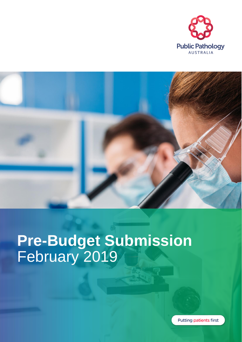



# **Pre-Budget Submission** February 2019

**Putting patients first**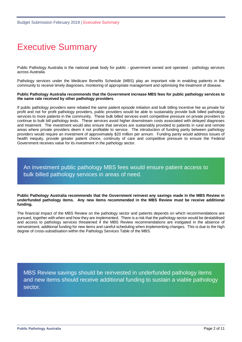# Executive Summary

Public Pathology Australia is the national peak body for public - government owned and operated - pathology services across Australia.

Pathology services under the Medicare Benefits Schedule (MBS) play an important role in enabling patients in the community to receive timely diagnoses, monitoring of appropriate management and optimising the treatment of disease.

#### **Public Pathology Australia recommends that the Government increase MBS fees for public pathology services to the same rate received by other pathology providers**.

If public pathology providers were rebated the same patient episode initiation and bulk billing incentive fee as private for profit and not for profit pathology providers, public providers would be able to sustainably provide bulk billed pathology services to more patients in the community. These bulk billed services exert competitive pressure on private providers to continue to bulk bill pathology tests. These services avoid higher downstream costs associated with delayed diagnoses and treatment. The investment would also ensure that services are sustainably provided to patients in rural and remote areas where private providers deem it not profitable to service. The introduction of funding parity between pathology providers would require an investment of approximately \$20 million per annum. Funding parity would address issues of health inequity, provide greater patient choice, continuity of care and competitive pressure to ensure the Federal Government receives value for its investment in the pathology sector.

## An investment public pathology MBS fees would ensure patient access to bulk billed pathology services in areas of need.

#### **Public Pathology Australia recommends that the Government reinvest any savings made in the MBS Review in underfunded pathology items. Any new items recommended in the MBS Review must be receive additional funding.**

The financial impact of the MBS Review on the pathology sector and patients depends on which recommendations are pursued, together with when and how they are implemented. There is a risk that the pathology sector would be destabilised and access to pathology services threatened if the MBS Review recommendations are instigated in the absence of reinvestment, additional funding for new items and careful scheduling when implementing changes. This is due to the high degree of cross-subsidisation within the Pathology Services Table of the MBS.

MBS Review savings should be reinvested in underfunded pathology items and new items should receive additional funding to sustain a viable pathology sector.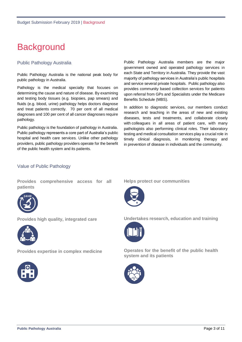# **Background**

### Public Pathology Australia

Public Pathology Australia is the national peak body for public pathology in Australia.

Pathology is the medical specialty that focuses on determining the cause and nature of disease. By examining and testing body tissues (e.g. biopsies, pap smears) and fluids (e.g. blood, urine) pathology helps doctors diagnose and treat patients correctly. 70 per cent of all medical diagnoses and 100 per cent of all cancer diagnoses require pathology.

Public pathology is the foundation of pathology in Australia. Public pathology represents a core part of Australia's public hospital and health care services. Unlike other pathology providers, public pathology providers operate for the benefit of the public health system and its patients.

Public Pathology Australia members are the major government owned and operated pathology services in each State and Territory in Australia. They provide the vast majority of pathology services in Australia's public hospitals and service several private hospitals. Public pathology also provides community based collection services for patients upon referral from GPs and Specialists under the Medicare Benefits Schedule (MBS).

In addition to diagnostic services, our members conduct research and teaching in the areas of new and existing diseases, tests and treatments, and collaborate closely with colleagues in all areas of patient care, with many pathologists also performing clinical roles. Their laboratory testing and medical consultation services play a crucial role in timely clinical diagnosis, in monitoring therapy and in prevention of disease in individuals and the community.

### Value of Public Pathology

**Provides comprehensive access for all patients**



**Provides high quality, integrated care**



**Provides expertise in complex medicine**



**Helps protect our communities**



**Undertakes research, education and training**



**Operates for the benefit of the public health system and its patients**

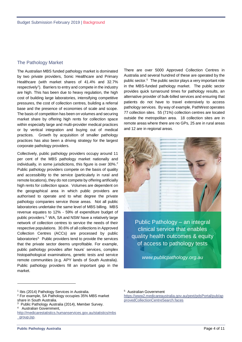#### The Pathology Market

The Australian MBS funded pathology market is dominated by two private providers, Sonic Healthcare and Primary Healthcare (with market shares of 41.4% and 32.7% respectively<sup>1</sup>). Barriers to entry and compete in the industry are high. This has been due to heavy regulation, the high cost of building large laboratories, intensifying competitive pressures, the cost of collection centres, building a referral base and the presence of economies of scale and scope. The basis of competition has been on volumes and securing market share by offering high rents for collection space within especially large and multi-provider medical practices or by vertical integration and buying out of medical practices. Growth by acquisition of smaller pathology practices has also been a driving strategy for the largest corporate pathology providers.

Collectively, public pathology providers occupy around 11 per cent of the MBS pathology market nationally and individually, in some jurisdictions, this figure is over 30%. 2 Public pathology providers compete on the basis of quality and accessibility to the service (particularly in rural and remote locations), they do not compete by offering artificially high rents for collection space. Volumes are dependent on the geographical area in which public providers are authorised to operate and to what degree the private pathology companies service those areas. Not all public laboratories undertake the same level of MBS billing. MBS revenue equates to 12% - 59% of expenditure budget of public providers.<sup>3</sup> WA, SA and NSW have a relatively large network of collection centres to service the needs of their respective populations. 30.6% of all collections in Approved Collection Centres (ACCs) are processed by public laboratories<sup>4.</sup> Public providers tend to provide the services that the private sector deems unprofitable. For example, public pathology provides after hours' services, complex histopathological examinations, genetic tests and service remote communities (e.g. APY lands of South Australia). Public pathology providers fill an important gap in the market.

There are over 5000 Approved Collection Centres in Australia and several hundred of these are operated by the public sector. 5 The public sector plays a very important role in the MBS-funded pathology market. The public sector provides quick turnaround times for pathology results, an alternative provider of bulk-billed services and ensuring that patients do not have to travel extensively to access pathology services. By way of example, PathWest operates 77 collection sites. 55 (71%) collection centres are located outside the metropolitan area. 18 collection sites are in remote areas where there are no GPs, 25 are in rural areas and 12 are in regional areas.



Public Pathology – an integral clinical service that enables quality health outcomes & equity of access to pathology tests

*www.publicpathology.org.au*

l

<sup>&</sup>lt;sup>1</sup> Ibis (2014) Pathology Services in Australia.

<sup>2</sup> For example, SA Pathology occupies 35% MBS market share in South Australia.

<sup>3</sup> Public Pathology Australia (2014), Member Survey. 4

Australian Government,

[http://medicarestatistics.humanservices.gov.au/statistics/mbs](http://medicarestatistics.humanservices.gov.au/statistics/mbs_group.jsp) [\\_group.jsp.](http://medicarestatistics.humanservices.gov.au/statistics/mbs_group.jsp)

<sup>5</sup> Australian Government

[https://www2.medicareaustralia.gov.au/pext/pdsPortal/pub/ap](https://www2.medicareaustralia.gov.au/pext/pdsPortal/pub/approvedCollectionCentreSearch.faces) [provedCollectionCentreSearch.faces](https://www2.medicareaustralia.gov.au/pext/pdsPortal/pub/approvedCollectionCentreSearch.faces)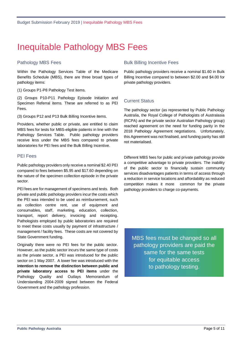# Inequitable Pathology MBS Fees

#### Pathology MBS Fees

Within the Pathology Services Table of the Medicare Benefits Schedule (MBS), there are three broad types of pathology items:

(1) Groups P1-P8 Pathology Test items.

(2) Groups P10-P11 Pathology Episode Initiation and Specimen Referral items. These are referred to as PEI Fees.

(3) Groups P12 and P13 Bulk Billing Incentive items.

Providers, whether public or private, are entitled to claim MBS fees for tests for MBS-eligible patients in line with the Pathology Services Table. Public pathology providers receive less under the MBS fees compared to private laboratories for PEI fees and the Bulk Billing Incentive.

#### PEI Fees

Public pathology providers only receive a nominal \$2.40 PEI compared to fees between \$5.95 and \$17.60 depending on the nature of the specimen collection episode in the private sector.

PEI fees are for management of specimens and tests. Both private and public pathology providers incur the costs which the PEI was intended to be used as reimbursement, such as collection centre rent, use of equipment and consumables, staff, marketing, education, collection, transport, report delivery, invoicing and receipting. Pathologists employed by public laboratories are required to meet these costs usually by payment of infrastructure / management / facility fees. These costs are not covered by State Government funding.

Originally there were no PEI fees for the public sector. However, as the public sector incurs the same type of costs as the private sector, a PEI was introduced for the public sector on 1 May 2007. A lower fee was introduced with the **intention to remove the distinction between public and private laboratory access to PEI items** under the Pathology Quality and Outlays Memorandum of Understanding 2004-2009 signed between the Federal Government and the pathology profession.

### Bulk Billing Incentive Fees

Public pathology providers receive a nominal \$1.60 in Bulk Billing Incentive compared to between \$2.00 and \$4.00 for private pathology providers.

### Current Status

The pathology sector (as represented by Public Pathology Australia, the Royal College of Pathologists of Australasia (RCPA) and the private sector Australian Pathology group) reached agreement on the need for funding parity in the 2018 Pathology Agreement negotiations. Unfortunately, this Agreement was not finalised, and funding parity has still not materialised.

Different MBS fees for public and private pathology provide a competitive advantage to private providers. The inability of the public sector to financially sustain community services disadvantages patients in terms of access through a reduction in service locations and affordability as reduced competition makes it more common for the private pathology providers to charge co-payments.

MBS fees must be changed so all pathology providers are paid the same for the same tests for equitable access to pathology testing.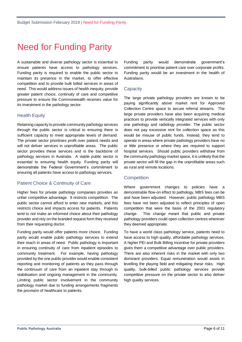# Need for Funding Parity

A sustainable and diverse pathology sector is essential to ensure patients have access to pathology services. Funding parity is required to enable the public sector to maintain its presence in the market, to offer effective competition and to provide bulk billed services in areas of need. This would address issues of health inequity, provide greater patient choice, continuity of care and competitive pressure to ensure the Commonwealth receives value for its investment in the pathology sector.

### Health Equity

Retaining capacity to provide community pathology services through the public sector is critical to ensuring there is sufficient capacity to meet appropriate levels of demand. The private sector prioritises profit over patient needs and will not deliver services in unprofitable areas. The public sector provides these services and is the backbone of pathology services in Australia. A viable public sector is essential to ensuring health equity. Funding parity will demonstrate the Federal Government's commitment to ensuring all patients have access to pathology services.

### Patient Choice & Continuity of Care

Higher fees for private pathology companies provides an unfair competitive advantage. It restricts competition. The public sector cannot afford to enter new markets, and this restricts choice and impacts access for patients. Patients tend to not make an informed choice about their pathology provider and rely on the branded request form they received from their requesting doctor.

Funding parity would offer patients more choice. Funding parity would enable public pathology services to extend their reach in areas of need. Public pathology is important in ensuring continuity of care from inpatient episodes to community treatment. For example, having pathology provided by the one public provider would enable consistent reporting and monitoring of patients as they pass through the continuum of care from an inpatient stay through to stabilisation and ongoing management in the community. Limiting public sector involvement in the community pathology market due to funding arrangements fragments the provision of healthcare to patients.

Funding parity would demonstrate government's commitment to prioritise patient care over corporate profits. Funding parity would be an investment in the health of Australians.

#### **Capacity**

The large private pathology providers are known to be paying significantly above market rent for Approved Collection Centre space to secure referral streams. The large private providers have also been acquiring medical practices to provide vertically integrated services with only one pathology and radiology provider. The public sector does not pay excessive rent for collection space as this would be misuse of public funds. Instead, they tend to operate in areas where private pathology providers have no or little presence or where they are required to support hospital services. Should public providers withdraw from the community pathology market space, it is unlikely that the private sector will fill the gap in the unprofitable areas such as rural and remote locations.

### **Competition**

Where government changes to policies have a demonstrable flow-on effect to pathology, MBS fees can be and have been adjusted. However, public pathology MBS fees have not been adjusted to reflect principles of open competition that were the basis of the 2001 regulatory change. This change meant that public and private pathology providers could open collection centres wherever they deemed appropriate.

To have a world class pathology service, patients need to have access to high quality, affordable pathology services. A higher PEI and Bulk Billing Incentive for private providers gives them a competitive advantage over public providers. There are also inherent risks in the market with only two dominant providers. Equal remuneration would assist in levelling the playing field and mitigating these risks. High quality, bulk-billed public pathology services provide competitive pressure on the private sector to also deliver high quality services.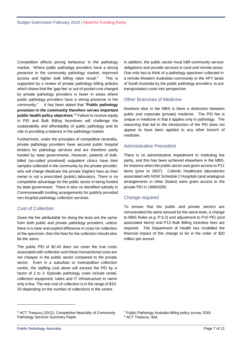Competition affects pricing behaviour in the pathology market. Where public pathology providers have a strong presence in the community pathology market, improved access and higher bulk billing rates result.<sup>6</sup> This is supported by a review of private pathology billing policies which shows that the 'gap fee' or out-of-pocket cost charged by private pathology providers is lower in areas where public pathology providers have a strong presence in the community.<sup>7</sup> It has been stated that "**Public pathology provision in the community therefore serves important public health policy objectives**."<sup>8</sup> Failure to receive equity in PEI and Bulk Billing Incentives will challenge the sustainability and affordability of public pathology and its role in providing a balance in the pathology market.

Furthermore, under the principles of competitive neutrality, private pathology providers have secured public hospital tenders for pathology services and are therefore partly funded by state governments. However, patients of bulkbilled (so-called privatised) outpatient clinics have their samples collected in the community by the private provider, who will charge Medicare the private (higher) fees as their owner is not a prescribed (public) laboratory. There is no competitive advantage for the public sector in being funded by state government. There is also no identified subsidy in Commonwealth funding arrangements for publicly provided non-hospital pathology collection services.

#### Cost of Collection

Given the fee attributable for doing the tests are the same from both public and private pathology providers, unless there is a clear and explicit difference in costs for collection of the specimen, then the fees for the collection should also be the same.

The public PEI of \$2.40 does not cover the true costs associated with collection and these transactional costs are not cheaper in the public sector compared to the private sector. Even in a suburban or metropolitan collection centre, the staffing cost alone will exceed the PEI by a factor of 2 to 3. Episodic pathology costs include rental, collection equipment, tubes and IT infrastructure to name only a few. The real cost of collection is in the range of \$15- 20 depending on the number of collections in the centre.

In addition, the public sector must fulfil community service obligations and provide services in rural and remote areas. One only has to think of a pathology specimen collected in a remote Western Australian community or the APY lands of South Australia by the public pathology providers, to put transportation costs into perspective.

#### Other Branches of Medicine

Nowhere else in the MBS is there a distinction between public and corporate (private) medicine. The PEI fee is unique in medicine in that it applies only in pathology. The reasoning that led to the introduction of the PEI does not appear to have been applied to any other branch of medicine.

#### Administrative Precedent

There is no administrative impediment to instituting fee parity, and this has been achieved elsewhere in the MBS, for instance when the public sector was given access to P11 items (prior to 2007). Catholic Healthcare laboratories associated with NSW Schedule 2 Hospitals (and analogous arrangements in other States) were given access to the private PEI in 1999/2000.

#### Change required

To ensure that the public and private sectors are remunerated the same amount for the same tests, a change to MBS Rules (e.g. P.6.2) and adjustment to P10 PEI (and associated items) and P13 Bulk Billing Incentive fees are required. The Department of Health has modelled the financial impact of this change to be in the order of \$20 million per annum.

 $\overline{a}$ 

<sup>6</sup> ACT Treasury (2012), Competitive Neutrality of Community Pathology Services Summary Paper.

<sup>7</sup> Public Pathology Australia billing policy survey 2018. <sup>8</sup> ACT Treasury, Ibid.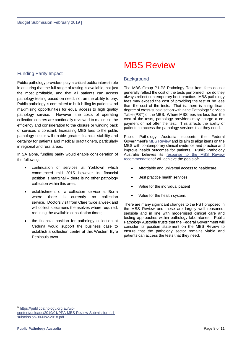#### Funding Parity Impact

Public pathology providers play a critical public interest role in ensuring that the full range of testing is available, not just the most profitable, and that all patients can access pathology testing based on need, not on the ability to pay. Public pathology is committed to bulk billing its patients and maximising opportunities for equal access to high quality pathology service. However, the costs of operating collection centres are continually reviewed to maximise the efficiency and consideration to the closure or winding back of services is constant. Increasing MBS fees to the public pathology sector will enable greater financial stability and certainty for patients and medical practitioners, particularly in regional and rural areas.

In SA alone, funding parity would enable consideration of the following:

- continuation of services at Yorktown which commenced mid 2015 however its financial position is marginal – there is no other pathology collection within this area;
- establishment of a collection service at Burra where there is currently no collection service. Doctors visit from Clare twice a week and will collect specimens themselves where required, reducing the available consultation times;
- the financial position for pathology collection at Ceduna would support the business case to establish a collection centre at this Western Eyre Peninsula town.

# MBS Review

#### **Background**

The MBS Group P1-P8 Pathology Test item fees do not generally reflect the cost of the tests performed, nor do they always reflect contemporary best practice. MBS pathology fees may exceed the cost of providing the test or be less than the cost of the tests. That is, there is a significant degree of cross-subsidisation within the Pathology Services Table (PST) of the MBS. Where MBS fees are less than the cost of the tests, pathology providers may charge a copayment or not offer the test. This affects the ability of patients to access the pathology services that they need.

Public Pathology Australia supports the Federal Government's [MBS Review](http://www.health.gov.au/internet/main/publishing.nsf/content/mbsreviewtaskforce) and its aim to align items on the MBS with contemporary clinical evidence and practice and improve health outcomes for patients. Public Pathology Australia believes its [response to the MBS Review](https://publicpathology.org.au/wp-content/uploads/2019/01/PPA-MBS-Review-Submission-full-submission-30-Nov-2018.pdf)  [recommendations](https://publicpathology.org.au/wp-content/uploads/2019/01/PPA-MBS-Review-Submission-full-submission-30-Nov-2018.pdf)<sup>9</sup> will achieve the goals of:

- Affordable and universal access to healthcare
- Best practice health services
- Value for the individual patient
- Value for the health system.

There are many significant changes to the PST proposed in the MBS Review and these are largely well reasoned, sensible and in line with modernised clinical care and testing approaches within pathology laboratories. Public Pathology Australia trusts that the Federal Government will consider its position statement on the MBS Review to ensure that the pathology sector remains viable and patients can access the tests that they need.

 $\overline{a}$ 

<sup>9</sup> [https://publicpathology.org.au/wp](https://publicpathology.org.au/wp-content/uploads/2019/01/PPA-MBS-Review-Submission-full-submission-30-Nov-2018.pdf)[content/uploads/2019/01/PPA-MBS-Review-Submission-full](https://publicpathology.org.au/wp-content/uploads/2019/01/PPA-MBS-Review-Submission-full-submission-30-Nov-2018.pdf)[submission-30-Nov-2018.pdf](https://publicpathology.org.au/wp-content/uploads/2019/01/PPA-MBS-Review-Submission-full-submission-30-Nov-2018.pdf)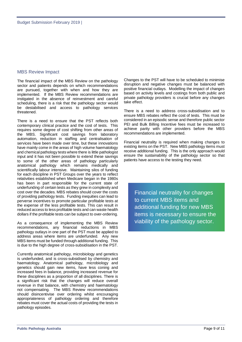#### MBS Review Impact

The financial impact of the MBS Review on the pathology sector and patients depends on which recommendations are pursued, together with when and how they are implemented. If the MBS Review recommendations are instigated in the absence of reinvestment and careful scheduling, there is a risk that the pathology sector would be destabilised and access to pathology services threatened.

There is a need to ensure that the PST reflects both contemporary clinical practice and the cost of tests. This requires some degree of cost shifting from other areas of the MBS. Significant cost savings from laboratory automation, reduction in staffing and centralisation of services have been made over time, but these innovations have mainly come in the areas of high volume haematology and chemical pathology tests where there is little pathologist input and it has not been possible to extend these savings to some of the other areas of pathology particularly anatomical pathology which remains medically and scientifically labour intensive. Maintaining silos of funding for each discipline in PST Groups over the years to reflect relativities established when Medicare began in the 1980s has been in part responsible for the current state of underfunding of certain tests as they grew in complexity and cost over the decades. MBS rebates should cover the costs of providing pathology tests. Funding inequities can lead to perverse incentives to promote particular profitable tests at the expense of the less profitable tests. This can result in reduced access to less profitable tests and can waste health dollars if the profitable tests can be subject to over-ordering.

As a consequence of implementing the MBS Review recommendations, any financial reductions in MBS pathology outlays in one part of the PST must be applied to address areas where items are underfunded. Any new MBS items must be funded through additional funding. This is due to the high degree of cross-subsidisation in the PST.

Currently anatomical pathology, microbiology and genetics is underfunded, and is cross-subsidised by chemistry and haematology. Anatomical pathology, microbiology and genetics should gain new items, have less coning and increased fees in balance, providing increased revenue for these disciplines as a proportion of all disciplines. There is a significant risk that the changes will reduce overall revenue in that balance, with chemistry and haematology not compensating. The MBS Review recommendations should disincentivise over ordering whilst encouraging appropriateness of pathology ordering and therefore rebates must cover the actual costs of providing the tests in pathology episodes.

Changes to the PST will have to be scheduled to minimise disruption and negative changes must be balanced with positive financial outlays. Modelling the impact of changes based on activity levels and costings from both public and private pathology providers is crucial before any changes take effect.

There is a need to address cross-subsidisation and to ensure MBS rebates reflect the cost of tests. This must be considered in an episodic sense and therefore public sector PEI and Bulk Billing Incentive fees must be increased to achieve parity with other providers before the MBS recommendations are implemented.

Financial neutrality is required when making changes to existing items on the PST. New MBS pathology items must receive additional funding. This is the only approach would ensure the sustainability of the pathology sector so that patients have access to the testing they need.

Financial neutrality for changes to current MBS items and additional funding for new MBS items is necessary to ensure the viability of the pathology sector.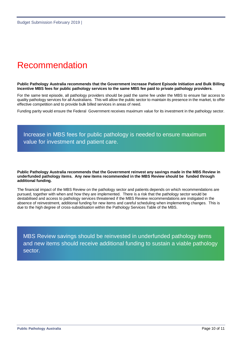# Recommendation

**Public Pathology Australia recommends that the Government increase Patient Episode Initiation and Bulk Billing Incentive MBS fees for public pathology services to the same MBS fee paid to private pathology providers**.

For the same test episode, all pathology providers should be paid the same fee under the MBS to ensure fair access to quality pathology services for all Australians. This will allow the public sector to maintain its presence in the market, to offer effective competition and to provide bulk billed services in areas of need.

Funding parity would ensure the Federal Government receives maximum value for its investment in the pathology sector.

Increase in MBS fees for public pathology is needed to ensure maximum value for investment and patient care.

**Public Pathology Australia recommends that the Government reinvest any savings made in the MBS Review in underfunded pathology items. Any new items recommended in the MBS Review should be funded through additional funding.** 

The financial impact of the MBS Review on the pathology sector and patients depends on which recommendations are pursued, together with when and how they are implemented. There is a risk that the pathology sector would be destabilised and access to pathology services threatened if the MBS Review recommendations are instigated in the absence of reinvestment, additional funding for new items and careful scheduling when implementing changes. This is due to the high degree of cross-subsidisation within the Pathology Services Table of the MBS.

MBS Review savings should be reinvested in underfunded pathology items and new items should receive additional funding to sustain a viable pathology sector.